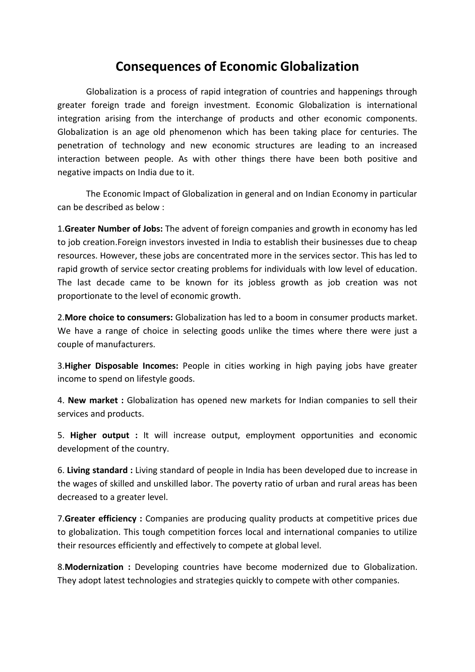## **Consequences of Economic Globalization**

Globalization is a process of rapid integration of countries and happenings through greater foreign trade and foreign investment. Economic Globalization is international integration arising from the interchange of products and other economic components. Globalization is an age old phenomenon which has been taking place for centuries. The penetration of technology and new economic structures are leading to an increased interaction between people. As with other things there have been both positive and negative impacts on India due to it.

The Economic Impact of Globalization in general and on Indian Economy in particular can be described as below :

1.**Greater Number of Jobs:** The advent of foreign companies and growth in economy has led to job creation.Foreign investors invested in India to establish their businesses due to cheap resources. However, these jobs are concentrated more in the services sector. This has led to rapid growth of service sector creating problems for individuals with low level of education. The last decade came to be known for its jobless growth as job creation was not proportionate to the level of economic growth.

2.**More choice to consumers:** Globalization has led to a boom in consumer products market. We have a range of choice in selecting goods unlike the times where there were just a couple of manufacturers.

3.**Higher Disposable Incomes:** People in cities working in high paying jobs have greater income to spend on lifestyle goods.

4. **New market :** Globalization has opened new markets for Indian companies to sell their services and products.

5. **Higher output :** It will increase output, employment opportunities and economic development of the country.

6. **Living standard :** Living standard of people in India has been developed due to increase in the wages of skilled and unskilled labor. The poverty ratio of urban and rural areas has been decreased to a greater level.

7.**Greater efficiency :** Companies are producing quality products at competitive prices due to globalization. This tough competition forces local and international companies to utilize their resources efficiently and effectively to compete at global level.

8.**Modernization :** Developing countries have become modernized due to Globalization. They adopt latest technologies and strategies quickly to compete with other companies.